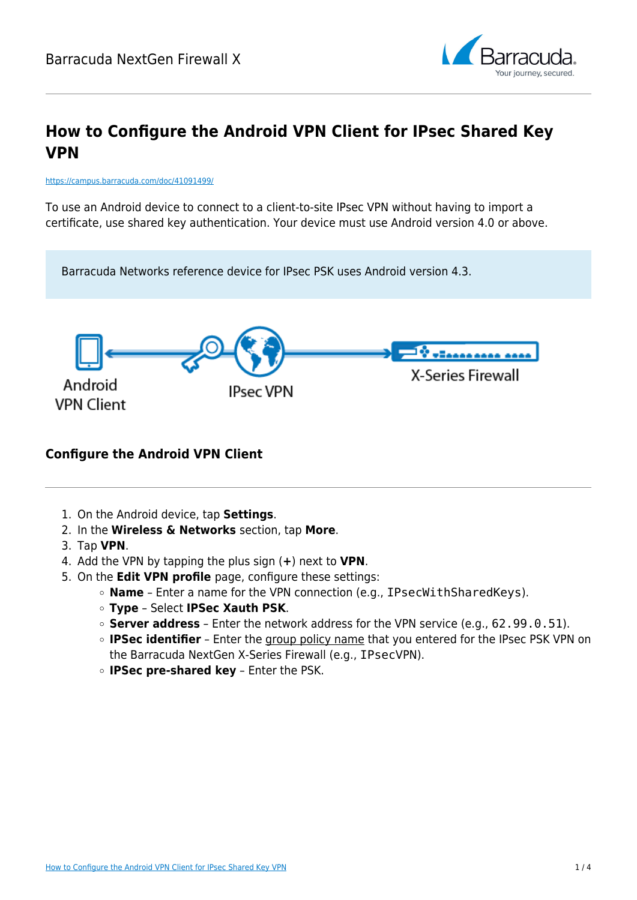

# **How to Configure the Android VPN Client for IPsec Shared Key VPN**

#### <https://campus.barracuda.com/doc/41091499/>

To use an Android device to connect to a client-to-site IPsec VPN without having to import a certificate, use shared key authentication. Your device must use Android version 4.0 or above.



### **Configure the Android VPN Client**

- 1. On the Android device, tap **Settings**.
- 2. In the **Wireless & Networks** section, tap **More**.
- 3. Tap **VPN**.
- 4. Add the VPN by tapping the plus sign (**+**) next to **VPN**.
- 5. On the **Edit VPN profile** page, configure these settings:
	- **Name** Enter a name for the VPN connection (e.g., IPsecWithSharedKeys).
	- **Type** Select **IPSec Xauth PSK**.
	- **Server address** Enter the network address for the VPN service (e.g., 62.99.0.51).
	- **IPSec identifier** Enter the group policy name that you entered for the IPsec PSK VPN on the Barracuda NextGen X-Series Firewall (e.g., IPsecVPN).
	- **IPSec pre-shared key** Enter the PSK.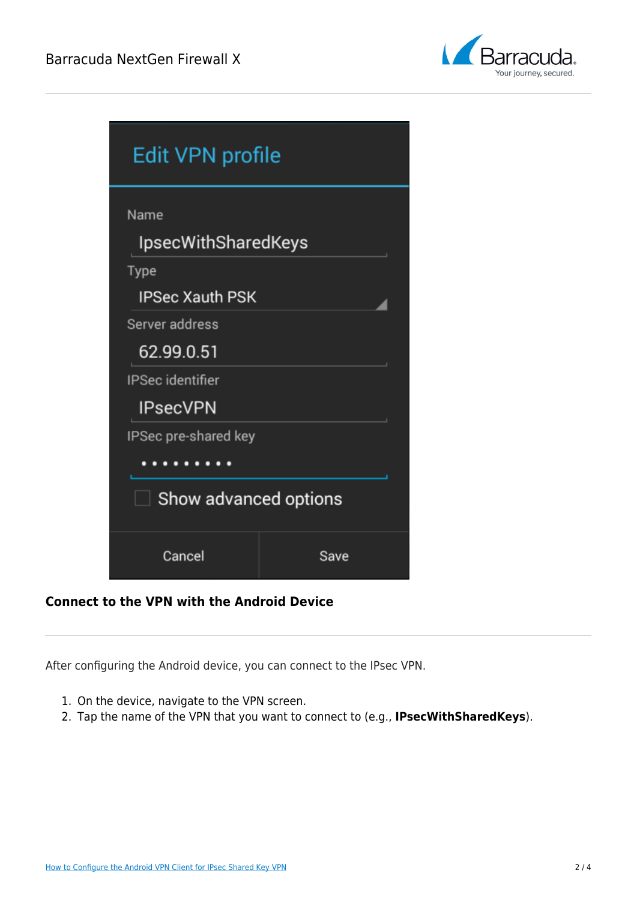

| <b>Edit VPN profile</b>                                |      |  |  |  |
|--------------------------------------------------------|------|--|--|--|
| Name<br><b>IpsecWithSharedKeys</b><br>Type             |      |  |  |  |
| <b>IPSec Xauth PSK</b><br>Server address<br>62.99.0.51 |      |  |  |  |
| <b>IPSec identifier</b><br><b>IPsecVPN</b>             |      |  |  |  |
| IPSec pre-shared key<br>$\Box$ Show advanced options   |      |  |  |  |
| Cancel                                                 | Save |  |  |  |

## **Connect to the VPN with the Android Device**

After configuring the Android device, you can connect to the IPsec VPN.

- 1. On the device, navigate to the VPN screen.
- 2. Tap the name of the VPN that you want to connect to (e.g., **IPsecWithSharedKeys**).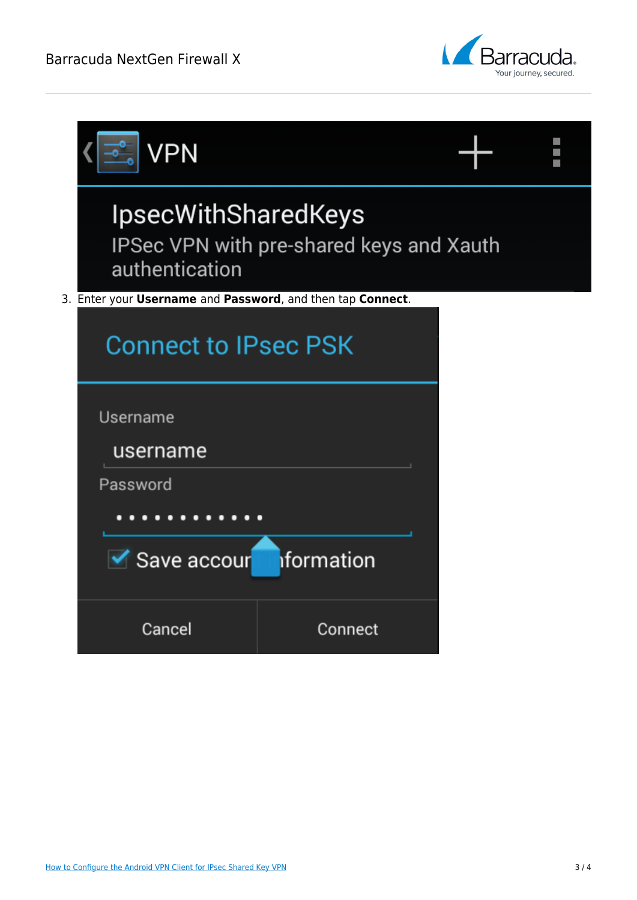

|                                                            | VPN                                                                                      |         |  |  |
|------------------------------------------------------------|------------------------------------------------------------------------------------------|---------|--|--|
|                                                            | <b>IpsecWithSharedKeys</b><br>IPSec VPN with pre-shared keys and Xauth<br>authentication |         |  |  |
| 3. Enter your Username and Password, and then tap Connect. |                                                                                          |         |  |  |
|                                                            | <b>Connect to IPsec PSK</b>                                                              |         |  |  |
|                                                            | Username                                                                                 |         |  |  |
|                                                            | username                                                                                 |         |  |  |
|                                                            | Password                                                                                 |         |  |  |
|                                                            |                                                                                          |         |  |  |
|                                                            | iformation<br>└ Save accour                                                              |         |  |  |
|                                                            | Cancel                                                                                   | Connect |  |  |